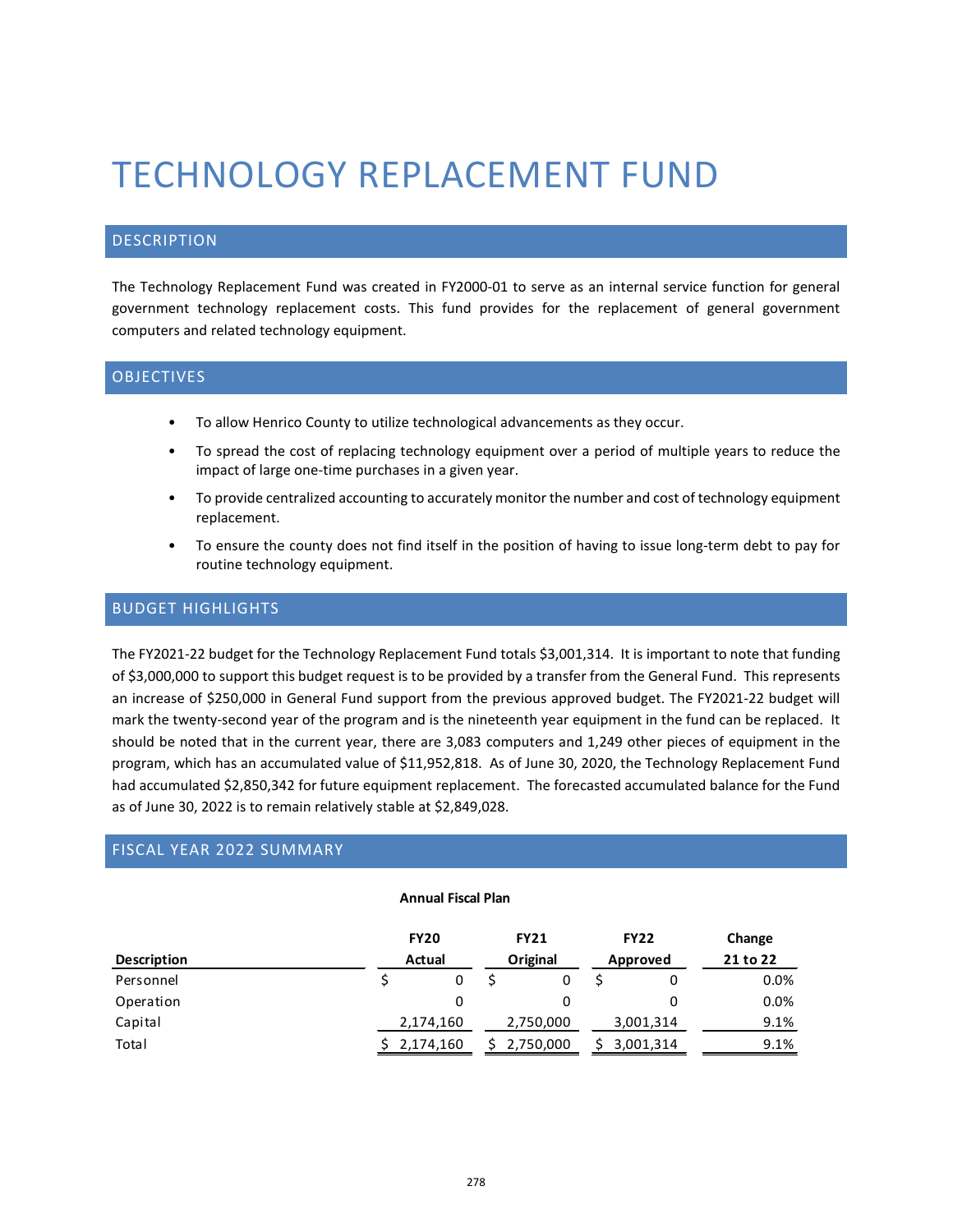# TECHNOLOGY REPLACEMENT FUND

## DESCRIPTION

The Technology Replacement Fund was created in FY2000-01 to serve as an internal service function for general government technology replacement costs. This fund provides for the replacement of general government computers and related technology equipment.

# **OBJECTIVES**

- To allow Henrico County to utilize technological advancements as they occur.
- To spread the cost of replacing technology equipment over a period of multiple years to reduce the impact of large one-time purchases in a given year.
- To provide centralized accounting to accurately monitor the number and cost of technology equipment replacement.
- To ensure the county does not find itself in the position of having to issue long-term debt to pay for routine technology equipment.

## BUDGET HIGHLIGHTS

The FY2021-22 budget for the Technology Replacement Fund totals \$3,001,314. It is important to note that funding of \$3,000,000 to support this budget request is to be provided by a transfer from the General Fund. This represents an increase of \$250,000 in General Fund support from the previous approved budget. The FY2021-22 budget will mark the twenty-second year of the program and is the nineteenth year equipment in the fund can be replaced. It should be noted that in the current year, there are 3,083 computers and 1,249 other pieces of equipment in the program, which has an accumulated value of \$11,952,818. As of June 30, 2020, the Technology Replacement Fund had accumulated \$2,850,342 for future equipment replacement. The forecasted accumulated balance for the Fund as of June 30, 2022 is to remain relatively stable at \$2,849,028.

## FISCAL YEAR 2022 SUMMARY

#### **Annual Fiscal Plan**

|                    |             | <b>FY20</b> |  | <b>FY21</b> |  | <b>FY22</b> | Change   |
|--------------------|-------------|-------------|--|-------------|--|-------------|----------|
| <b>Description</b> | Actual      |             |  | Original    |  | Approved    | 21 to 22 |
| Personnel          |             | 0           |  |             |  |             | $0.0\%$  |
| Operation          |             | 0           |  |             |  |             | $0.0\%$  |
| Capital            |             | 2,174,160   |  | 2,750,000   |  | 3,001,314   | 9.1%     |
| Total              | \$2,174,160 |             |  | 2,750,000   |  | 3,001,314   | 9.1%     |